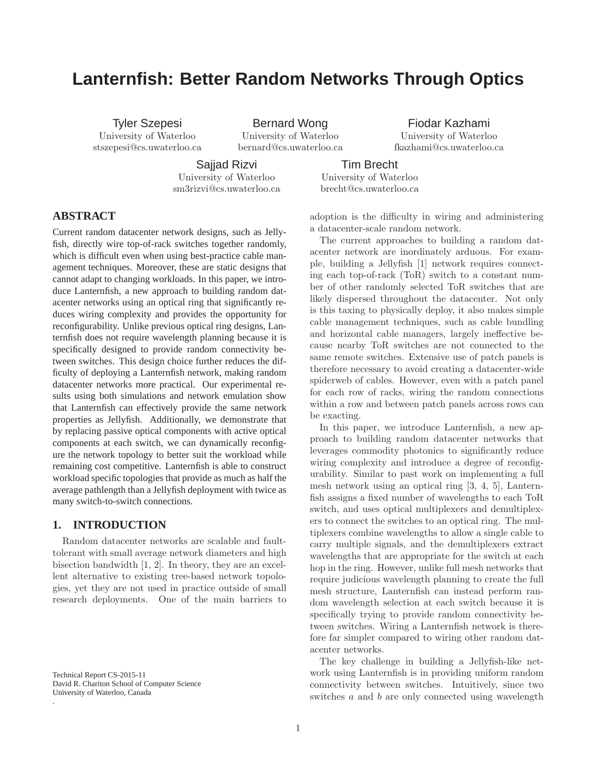# **Lanternfish: Better Random Networks Through Optics**

Tyler Szepesi University of Waterloo stszepesi@cs.uwaterloo.ca

Bernard Wong University of Waterloo bernard@cs.uwaterloo.ca

Fiodar Kazhami University of Waterloo fkazhami@cs.uwaterloo.ca

Sajjad Rizvi University of Waterloo sm3rizvi@cs.uwaterloo.ca

Tim Brecht University of Waterloo

brecht@cs.uwaterloo.ca

adoption is the difficulty in wiring and administering a datacenter-scale random network.

The current approaches to building a random datacenter network are inordinately arduous. For example, building a Jellyfish [1] network requires connecting each top-of-rack (ToR) switch to a constant number of other randomly selected ToR switches that are likely dispersed throughout the datacenter. Not only is this taxing to physically deploy, it also makes simple cable management techniques, such as cable bundling and horizontal cable managers, largely ineffective because nearby ToR switches are not connected to the same remote switches. Extensive use of patch panels is therefore necessary to avoid creating a datacenter-wide spiderweb of cables. However, even with a patch panel for each row of racks, wiring the random connections within a row and between patch panels across rows can be exacting.

In this paper, we introduce Lanternfish, a new approach to building random datacenter networks that leverages commodity photonics to significantly reduce wiring complexity and introduce a degree of reconfigurability. Similar to past work on implementing a full mesh network using an optical ring [3, 4, 5], Lanternfish assigns a fixed number of wavelengths to each ToR switch, and uses optical multiplexers and demultiplexers to connect the switches to an optical ring. The multiplexers combine wavelengths to allow a single cable to carry multiple signals, and the demultiplexers extract wavelengths that are appropriate for the switch at each hop in the ring. However, unlike full mesh networks that require judicious wavelength planning to create the full mesh structure, Lanternfish can instead perform random wavelength selection at each switch because it is specifically trying to provide random connectivity between switches. Wiring a Lanternfish network is therefore far simpler compared to wiring other random datacenter networks.

The key challenge in building a Jellyfish-like network using Lanternfish is in providing uniform random connectivity between switches. Intuitively, since two switches a and b are only connected using wavelength

# **ABSTRACT**

Current random datacenter network designs, such as Jellyfish, directly wire top-of-rack switches together randomly, which is difficult even when using best-practice cable management techniques. Moreover, these are static designs that cannot adapt to changing workloads. In this paper, we introduce Lanternfish, a new approach to building random datacenter networks using an optical ring that significantly reduces wiring complexity and provides the opportunity for reconfigurability. Unlike previous optical ring designs, Lanternfish does not require wavelength planning because it is specifically designed to provide random connectivity between switches. This design choice further reduces the difficulty of deploying a Lanternfish network, making random datacenter networks more practical. Our experimental results using both simulations and network emulation show that Lanternfish can effectively provide the same network properties as Jellyfish. Additionally, we demonstrate that by replacing passive optical components with active optical components at each switch, we can dynamically reconfigure the network topology to better suit the workload while remaining cost competitive. Lanternfish is able to construct workload specific topologies that provide as much as half the average pathlength than a Jellyfish deployment with twice as many switch-to-switch connections.

# **1. INTRODUCTION**

Random datacenter networks are scalable and faulttolerant with small average network diameters and high bisection bandwidth [1, 2]. In theory, they are an excellent alternative to existing tree-based network topologies, yet they are not used in practice outside of small research deployments. One of the main barriers to

Technical Report CS-2015-11 David R. Chariton School of Computer Science University of Waterloo, Canada

.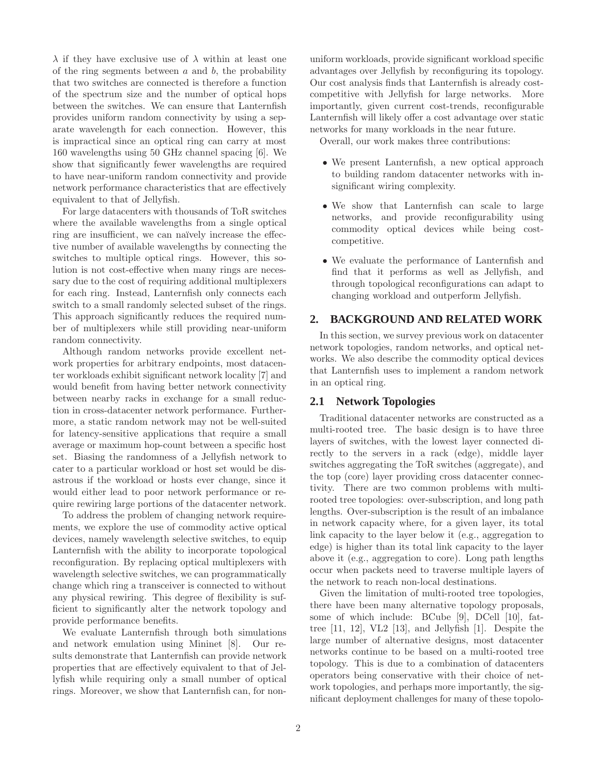$\lambda$  if they have exclusive use of  $\lambda$  within at least one of the ring segments between  $a$  and  $b$ , the probability that two switches are connected is therefore a function of the spectrum size and the number of optical hops between the switches. We can ensure that Lanternfish provides uniform random connectivity by using a separate wavelength for each connection. However, this is impractical since an optical ring can carry at most 160 wavelengths using 50 GHz channel spacing [6]. We show that significantly fewer wavelengths are required to have near-uniform random connectivity and provide network performance characteristics that are effectively equivalent to that of Jellyfish.

For large datacenters with thousands of ToR switches where the available wavelengths from a single optical ring are insufficient, we can naïvely increase the effective number of available wavelengths by connecting the switches to multiple optical rings. However, this solution is not cost-effective when many rings are necessary due to the cost of requiring additional multiplexers for each ring. Instead, Lanternfish only connects each switch to a small randomly selected subset of the rings. This approach significantly reduces the required number of multiplexers while still providing near-uniform random connectivity.

Although random networks provide excellent network properties for arbitrary endpoints, most datacenter workloads exhibit significant network locality [7] and would benefit from having better network connectivity between nearby racks in exchange for a small reduction in cross-datacenter network performance. Furthermore, a static random network may not be well-suited for latency-sensitive applications that require a small average or maximum hop-count between a specific host set. Biasing the randomness of a Jellyfish network to cater to a particular workload or host set would be disastrous if the workload or hosts ever change, since it would either lead to poor network performance or require rewiring large portions of the datacenter network.

To address the problem of changing network requirements, we explore the use of commodity active optical devices, namely wavelength selective switches, to equip Lanternfish with the ability to incorporate topological reconfiguration. By replacing optical multiplexers with wavelength selective switches, we can programmatically change which ring a transceiver is connected to without any physical rewiring. This degree of flexibility is sufficient to significantly alter the network topology and provide performance benefits.

We evaluate Lanternfish through both simulations and network emulation using Mininet [8]. Our results demonstrate that Lanternfish can provide network properties that are effectively equivalent to that of Jellyfish while requiring only a small number of optical rings. Moreover, we show that Lanternfish can, for nonuniform workloads, provide significant workload specific advantages over Jellyfish by reconfiguring its topology. Our cost analysis finds that Lanternfish is already costcompetitive with Jellyfish for large networks. More importantly, given current cost-trends, reconfigurable Lanternfish will likely offer a cost advantage over static networks for many workloads in the near future.

Overall, our work makes three contributions:

- We present Lanternfish, a new optical approach to building random datacenter networks with insignificant wiring complexity.
- We show that Lanternfish can scale to large networks, and provide reconfigurability using commodity optical devices while being costcompetitive.
- We evaluate the performance of Lanternfish and find that it performs as well as Jellyfish, and through topological reconfigurations can adapt to changing workload and outperform Jellyfish.

# **2. BACKGROUND AND RELATED WORK**

In this section, we survey previous work on datacenter network topologies, random networks, and optical networks. We also describe the commodity optical devices that Lanternfish uses to implement a random network in an optical ring.

# **2.1 Network Topologies**

Traditional datacenter networks are constructed as a multi-rooted tree. The basic design is to have three layers of switches, with the lowest layer connected directly to the servers in a rack (edge), middle layer switches aggregating the ToR switches (aggregate), and the top (core) layer providing cross datacenter connectivity. There are two common problems with multirooted tree topologies: over-subscription, and long path lengths. Over-subscription is the result of an imbalance in network capacity where, for a given layer, its total link capacity to the layer below it (e.g., aggregation to edge) is higher than its total link capacity to the layer above it (e.g., aggregation to core). Long path lengths occur when packets need to traverse multiple layers of the network to reach non-local destinations.

Given the limitation of multi-rooted tree topologies, there have been many alternative topology proposals, some of which include: BCube [9], DCell [10], fattree [11, 12], VL2 [13], and Jellyfish [1]. Despite the large number of alternative designs, most datacenter networks continue to be based on a multi-rooted tree topology. This is due to a combination of datacenters operators being conservative with their choice of network topologies, and perhaps more importantly, the significant deployment challenges for many of these topolo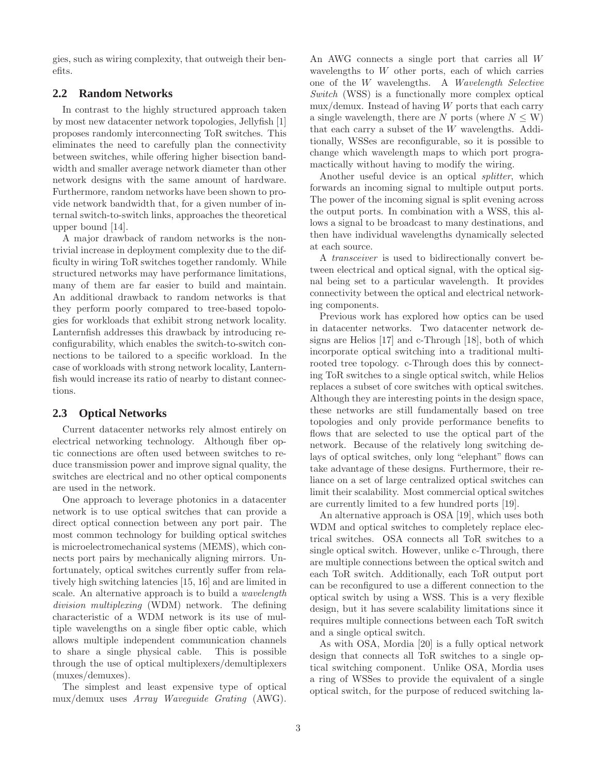gies, such as wiring complexity, that outweigh their benefits.

# **2.2 Random Networks**

In contrast to the highly structured approach taken by most new datacenter network topologies, Jellyfish [1] proposes randomly interconnecting ToR switches. This eliminates the need to carefully plan the connectivity between switches, while offering higher bisection bandwidth and smaller average network diameter than other network designs with the same amount of hardware. Furthermore, random networks have been shown to provide network bandwidth that, for a given number of internal switch-to-switch links, approaches the theoretical upper bound [14].

A major drawback of random networks is the nontrivial increase in deployment complexity due to the difficulty in wiring ToR switches together randomly. While structured networks may have performance limitations, many of them are far easier to build and maintain. An additional drawback to random networks is that they perform poorly compared to tree-based topologies for workloads that exhibit strong network locality. Lanternfish addresses this drawback by introducing reconfigurability, which enables the switch-to-switch connections to be tailored to a specific workload. In the case of workloads with strong network locality, Lanternfish would increase its ratio of nearby to distant connections.

### **2.3 Optical Networks**

Current datacenter networks rely almost entirely on electrical networking technology. Although fiber optic connections are often used between switches to reduce transmission power and improve signal quality, the switches are electrical and no other optical components are used in the network.

One approach to leverage photonics in a datacenter network is to use optical switches that can provide a direct optical connection between any port pair. The most common technology for building optical switches is microelectromechanical systems (MEMS), which connects port pairs by mechanically aligning mirrors. Unfortunately, optical switches currently suffer from relatively high switching latencies [15, 16] and are limited in scale. An alternative approach is to build a wavelength division multiplexing (WDM) network. The defining characteristic of a WDM network is its use of multiple wavelengths on a single fiber optic cable, which allows multiple independent communication channels to share a single physical cable. This is possible through the use of optical multiplexers/demultiplexers (muxes/demuxes).

The simplest and least expensive type of optical mux/demux uses Array Waveguide Grating (AWG). An AWG connects a single port that carries all W wavelengths to W other ports, each of which carries one of the W wavelengths. A Wavelength Selective Switch (WSS) is a functionally more complex optical  $\text{mux}/\text{demux}$ . Instead of having W ports that each carry a single wavelength, there are N ports (where  $N \leq W$ ) that each carry a subset of the W wavelengths. Additionally, WSSes are reconfigurable, so it is possible to change which wavelength maps to which port programactically without having to modify the wiring.

Another useful device is an optical splitter, which forwards an incoming signal to multiple output ports. The power of the incoming signal is split evening across the output ports. In combination with a WSS, this allows a signal to be broadcast to many destinations, and then have individual wavelengths dynamically selected at each source.

A transceiver is used to bidirectionally convert between electrical and optical signal, with the optical signal being set to a particular wavelength. It provides connectivity between the optical and electrical networking components.

Previous work has explored how optics can be used in datacenter networks. Two datacenter network designs are Helios [17] and c-Through [18], both of which incorporate optical switching into a traditional multirooted tree topology. c-Through does this by connecting ToR switches to a single optical switch, while Helios replaces a subset of core switches with optical switches. Although they are interesting points in the design space, these networks are still fundamentally based on tree topologies and only provide performance benefits to flows that are selected to use the optical part of the network. Because of the relatively long switching delays of optical switches, only long "elephant" flows can take advantage of these designs. Furthermore, their reliance on a set of large centralized optical switches can limit their scalability. Most commercial optical switches are currently limited to a few hundred ports [19].

An alternative approach is OSA [19], which uses both WDM and optical switches to completely replace electrical switches. OSA connects all ToR switches to a single optical switch. However, unlike c-Through, there are multiple connections between the optical switch and each ToR switch. Additionally, each ToR output port can be reconfigured to use a different connection to the optical switch by using a WSS. This is a very flexible design, but it has severe scalability limitations since it requires multiple connections between each ToR switch and a single optical switch.

As with OSA, Mordia [20] is a fully optical network design that connects all ToR switches to a single optical switching component. Unlike OSA, Mordia uses a ring of WSSes to provide the equivalent of a single optical switch, for the purpose of reduced switching la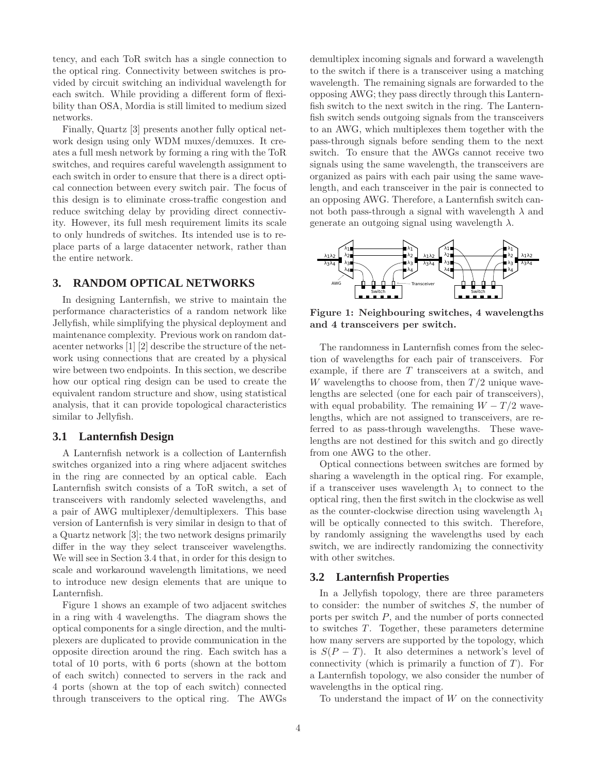tency, and each ToR switch has a single connection to the optical ring. Connectivity between switches is provided by circuit switching an individual wavelength for each switch. While providing a different form of flexibility than OSA, Mordia is still limited to medium sized networks.

Finally, Quartz [3] presents another fully optical network design using only WDM muxes/demuxes. It creates a full mesh network by forming a ring with the ToR switches, and requires careful wavelength assignment to each switch in order to ensure that there is a direct optical connection between every switch pair. The focus of this design is to eliminate cross-traffic congestion and reduce switching delay by providing direct connectivity. However, its full mesh requirement limits its scale to only hundreds of switches. Its intended use is to replace parts of a large datacenter network, rather than the entire network.

# **3. RANDOM OPTICAL NETWORKS**

In designing Lanternfish, we strive to maintain the performance characteristics of a random network like Jellyfish, while simplifying the physical deployment and maintenance complexity. Previous work on random datacenter networks [1] [2] describe the structure of the network using connections that are created by a physical wire between two endpoints. In this section, we describe how our optical ring design can be used to create the equivalent random structure and show, using statistical analysis, that it can provide topological characteristics similar to Jellyfish.

# **3.1 Lanternfish Design**

A Lanternfish network is a collection of Lanternfish switches organized into a ring where adjacent switches in the ring are connected by an optical cable. Each Lanternfish switch consists of a ToR switch, a set of transceivers with randomly selected wavelengths, and a pair of AWG multiplexer/demultiplexers. This base version of Lanternfish is very similar in design to that of a Quartz network [3]; the two network designs primarily differ in the way they select transceiver wavelengths. We will see in Section 3.4 that, in order for this design to scale and workaround wavelength limitations, we need to introduce new design elements that are unique to Lanternfish.

Figure 1 shows an example of two adjacent switches in a ring with 4 wavelengths. The diagram shows the optical components for a single direction, and the multiplexers are duplicated to provide communication in the opposite direction around the ring. Each switch has a total of 10 ports, with 6 ports (shown at the bottom of each switch) connected to servers in the rack and 4 ports (shown at the top of each switch) connected through transceivers to the optical ring. The AWGs demultiplex incoming signals and forward a wavelength to the switch if there is a transceiver using a matching wavelength. The remaining signals are forwarded to the opposing AWG; they pass directly through this Lanternfish switch to the next switch in the ring. The Lanternfish switch sends outgoing signals from the transceivers to an AWG, which multiplexes them together with the pass-through signals before sending them to the next switch. To ensure that the AWGs cannot receive two signals using the same wavelength, the transceivers are organized as pairs with each pair using the same wavelength, and each transceiver in the pair is connected to an opposing AWG. Therefore, a Lanternfish switch cannot both pass-through a signal with wavelength  $\lambda$  and generate an outgoing signal using wavelength  $\lambda$ .



Figure 1: Neighbouring switches, 4 wavelengths and 4 transceivers per switch.

The randomness in Lanternfish comes from the selection of wavelengths for each pair of transceivers. For example, if there are  $T$  transceivers at a switch, and W wavelengths to choose from, then  $T/2$  unique wavelengths are selected (one for each pair of transceivers), with equal probability. The remaining  $W - T/2$  wavelengths, which are not assigned to transceivers, are referred to as pass-through wavelengths. These wavelengths are not destined for this switch and go directly from one AWG to the other.

Optical connections between switches are formed by sharing a wavelength in the optical ring. For example, if a transceiver uses wavelength  $\lambda_1$  to connect to the optical ring, then the first switch in the clockwise as well as the counter-clockwise direction using wavelength  $\lambda_1$ will be optically connected to this switch. Therefore, by randomly assigning the wavelengths used by each switch, we are indirectly randomizing the connectivity with other switches.

#### **3.2 Lanternfish Properties**

In a Jellyfish topology, there are three parameters to consider: the number of switches S, the number of ports per switch P, and the number of ports connected to switches T. Together, these parameters determine how many servers are supported by the topology, which is  $S(P - T)$ . It also determines a network's level of connectivity (which is primarily a function of  $T$ ). For a Lanternfish topology, we also consider the number of wavelengths in the optical ring.

To understand the impact of  $W$  on the connectivity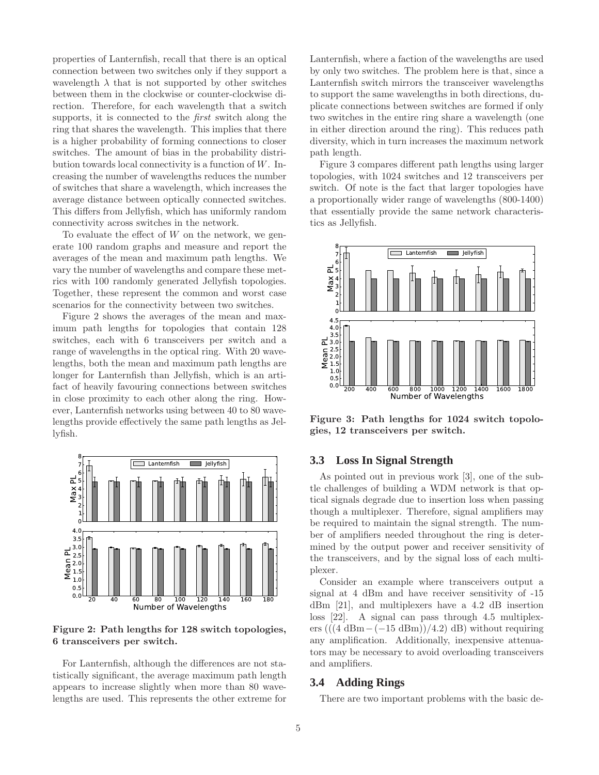properties of Lanternfish, recall that there is an optical connection between two switches only if they support a wavelength  $\lambda$  that is not supported by other switches between them in the clockwise or counter-clockwise direction. Therefore, for each wavelength that a switch supports, it is connected to the first switch along the ring that shares the wavelength. This implies that there is a higher probability of forming connections to closer switches. The amount of bias in the probability distribution towards local connectivity is a function of  $W$ . Increasing the number of wavelengths reduces the number of switches that share a wavelength, which increases the average distance between optically connected switches. This differs from Jellyfish, which has uniformly random connectivity across switches in the network.

To evaluate the effect of  $W$  on the network, we generate 100 random graphs and measure and report the averages of the mean and maximum path lengths. We vary the number of wavelengths and compare these metrics with 100 randomly generated Jellyfish topologies. Together, these represent the common and worst case scenarios for the connectivity between two switches.

Figure 2 shows the averages of the mean and maximum path lengths for topologies that contain 128 switches, each with 6 transceivers per switch and a range of wavelengths in the optical ring. With 20 wavelengths, both the mean and maximum path lengths are longer for Lanternfish than Jellyfish, which is an artifact of heavily favouring connections between switches in close proximity to each other along the ring. However, Lanternfish networks using between 40 to 80 wavelengths provide effectively the same path lengths as Jellyfish.



Figure 2: Path lengths for 128 switch topologies, 6 transceivers per switch.

For Lanternfish, although the differences are not statistically significant, the average maximum path length appears to increase slightly when more than 80 wavelengths are used. This represents the other extreme for Lanternfish, where a faction of the wavelengths are used by only two switches. The problem here is that, since a Lanternfish switch mirrors the transceiver wavelengths to support the same wavelengths in both directions, duplicate connections between switches are formed if only two switches in the entire ring share a wavelength (one in either direction around the ring). This reduces path diversity, which in turn increases the maximum network path length.

Figure 3 compares different path lengths using larger topologies, with 1024 switches and 12 transceivers per switch. Of note is the fact that larger topologies have a proportionally wider range of wavelengths (800-1400) that essentially provide the same network characteristics as Jellyfish.



Figure 3: Path lengths for 1024 switch topologies, 12 transceivers per switch.

# **3.3 Loss In Signal Strength**

As pointed out in previous work [3], one of the subtle challenges of building a WDM network is that optical signals degrade due to insertion loss when passing though a multiplexer. Therefore, signal amplifiers may be required to maintain the signal strength. The number of amplifiers needed throughout the ring is determined by the output power and receiver sensitivity of the transceivers, and by the signal loss of each multiplexer.

Consider an example where transceivers output a signal at 4 dBm and have receiver sensitivity of -15 dBm [21], and multiplexers have a 4.2 dB insertion loss [22]. A signal can pass through 4.5 multiplexers (( $(4 \text{ dBm} - (-15 \text{ dBm}))/4.2$ ) dB) without requiring any amplification. Additionally, inexpensive attenuators may be necessary to avoid overloading transceivers and amplifiers.

### **3.4 Adding Rings**

There are two important problems with the basic de-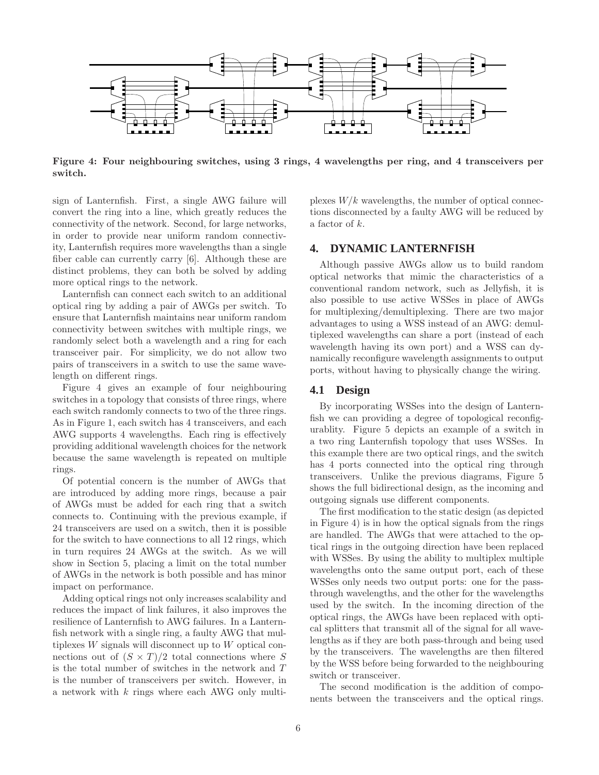

Figure 4: Four neighbouring switches, using 3 rings, 4 wavelengths per ring, and 4 transceivers per switch.

sign of Lanternfish. First, a single AWG failure will convert the ring into a line, which greatly reduces the connectivity of the network. Second, for large networks, in order to provide near uniform random connectivity, Lanternfish requires more wavelengths than a single fiber cable can currently carry [6]. Although these are distinct problems, they can both be solved by adding more optical rings to the network.

Lanternfish can connect each switch to an additional optical ring by adding a pair of AWGs per switch. To ensure that Lanternfish maintains near uniform random connectivity between switches with multiple rings, we randomly select both a wavelength and a ring for each transceiver pair. For simplicity, we do not allow two pairs of transceivers in a switch to use the same wavelength on different rings.

Figure 4 gives an example of four neighbouring switches in a topology that consists of three rings, where each switch randomly connects to two of the three rings. As in Figure 1, each switch has 4 transceivers, and each AWG supports 4 wavelengths. Each ring is effectively providing additional wavelength choices for the network because the same wavelength is repeated on multiple rings.

Of potential concern is the number of AWGs that are introduced by adding more rings, because a pair of AWGs must be added for each ring that a switch connects to. Continuing with the previous example, if 24 transceivers are used on a switch, then it is possible for the switch to have connections to all 12 rings, which in turn requires 24 AWGs at the switch. As we will show in Section 5, placing a limit on the total number of AWGs in the network is both possible and has minor impact on performance.

Adding optical rings not only increases scalability and reduces the impact of link failures, it also improves the resilience of Lanternfish to AWG failures. In a Lanternfish network with a single ring, a faulty AWG that multiplexes W signals will disconnect up to W optical connections out of  $(S \times T)/2$  total connections where S is the total number of switches in the network and T is the number of transceivers per switch. However, in a network with k rings where each AWG only multi-

plexes  $W/k$  wavelengths, the number of optical connections disconnected by a faulty AWG will be reduced by a factor of k.

# **4. DYNAMIC LANTERNFISH**

Although passive AWGs allow us to build random optical networks that mimic the characteristics of a conventional random network, such as Jellyfish, it is also possible to use active WSSes in place of AWGs for multiplexing/demultiplexing. There are two major advantages to using a WSS instead of an AWG: demultiplexed wavelengths can share a port (instead of each wavelength having its own port) and a WSS can dynamically reconfigure wavelength assignments to output ports, without having to physically change the wiring.

### **4.1 Design**

By incorporating WSSes into the design of Lanternfish we can providing a degree of topological reconfigurablity. Figure 5 depicts an example of a switch in a two ring Lanternfish topology that uses WSSes. In this example there are two optical rings, and the switch has 4 ports connected into the optical ring through transceivers. Unlike the previous diagrams, Figure 5 shows the full bidirectional design, as the incoming and outgoing signals use different components.

The first modification to the static design (as depicted in Figure 4) is in how the optical signals from the rings are handled. The AWGs that were attached to the optical rings in the outgoing direction have been replaced with WSSes. By using the ability to multiplex multiple wavelengths onto the same output port, each of these WSSes only needs two output ports: one for the passthrough wavelengths, and the other for the wavelengths used by the switch. In the incoming direction of the optical rings, the AWGs have been replaced with optical splitters that transmit all of the signal for all wavelengths as if they are both pass-through and being used by the transceivers. The wavelengths are then filtered by the WSS before being forwarded to the neighbouring switch or transceiver.

The second modification is the addition of components between the transceivers and the optical rings.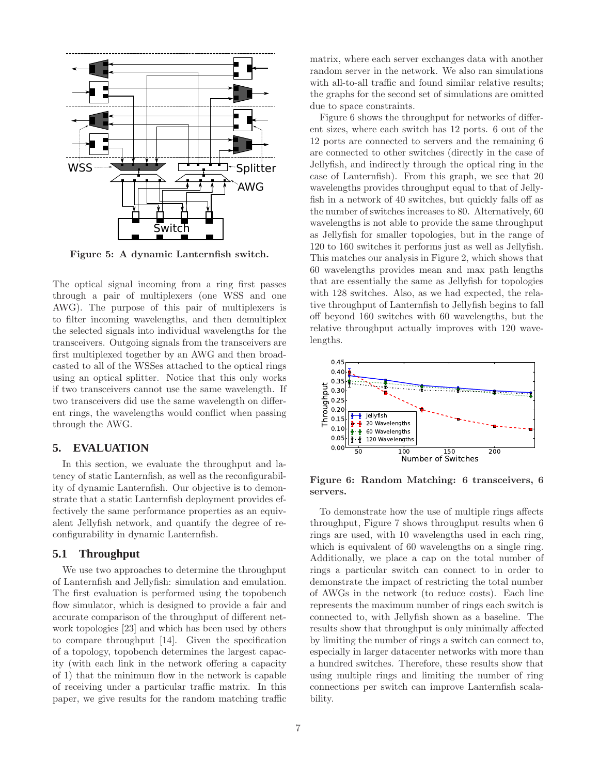

Figure 5: A dynamic Lanternfish switch.

The optical signal incoming from a ring first passes through a pair of multiplexers (one WSS and one AWG). The purpose of this pair of multiplexers is to filter incoming wavelengths, and then demultiplex the selected signals into individual wavelengths for the transceivers. Outgoing signals from the transceivers are first multiplexed together by an AWG and then broadcasted to all of the WSSes attached to the optical rings using an optical splitter. Notice that this only works if two transceivers cannot use the same wavelength. If two transceivers did use the same wavelength on different rings, the wavelengths would conflict when passing through the AWG.

# **5. EVALUATION**

In this section, we evaluate the throughput and latency of static Lanternfish, as well as the reconfigurability of dynamic Lanternfish. Our objective is to demonstrate that a static Lanternfish deployment provides effectively the same performance properties as an equivalent Jellyfish network, and quantify the degree of reconfigurability in dynamic Lanternfish.

### **5.1 Throughput**

We use two approaches to determine the throughput of Lanternfish and Jellyfish: simulation and emulation. The first evaluation is performed using the topobench flow simulator, which is designed to provide a fair and accurate comparison of the throughput of different network topologies [23] and which has been used by others to compare throughput [14]. Given the specification of a topology, topobench determines the largest capacity (with each link in the network offering a capacity of 1) that the minimum flow in the network is capable of receiving under a particular traffic matrix. In this paper, we give results for the random matching traffic

matrix, where each server exchanges data with another random server in the network. We also ran simulations with all-to-all traffic and found similar relative results: the graphs for the second set of simulations are omitted due to space constraints.

Figure 6 shows the throughput for networks of different sizes, where each switch has 12 ports. 6 out of the 12 ports are connected to servers and the remaining 6 are connected to other switches (directly in the case of Jellyfish, and indirectly through the optical ring in the case of Lanternfish). From this graph, we see that 20 wavelengths provides throughput equal to that of Jellyfish in a network of 40 switches, but quickly falls off as the number of switches increases to 80. Alternatively, 60 wavelengths is not able to provide the same throughput as Jellyfish for smaller topologies, but in the range of 120 to 160 switches it performs just as well as Jellyfish. This matches our analysis in Figure 2, which shows that 60 wavelengths provides mean and max path lengths that are essentially the same as Jellyfish for topologies with 128 switches. Also, as we had expected, the relative throughput of Lanternfish to Jellyfish begins to fall off beyond 160 switches with 60 wavelengths, but the relative throughput actually improves with 120 wavelengths.



Figure 6: Random Matching: 6 transceivers, 6 servers.

To demonstrate how the use of multiple rings affects throughput, Figure 7 shows throughput results when 6 rings are used, with 10 wavelengths used in each ring, which is equivalent of 60 wavelengths on a single ring. Additionally, we place a cap on the total number of rings a particular switch can connect to in order to demonstrate the impact of restricting the total number of AWGs in the network (to reduce costs). Each line represents the maximum number of rings each switch is connected to, with Jellyfish shown as a baseline. The results show that throughput is only minimally affected by limiting the number of rings a switch can connect to, especially in larger datacenter networks with more than a hundred switches. Therefore, these results show that using multiple rings and limiting the number of ring connections per switch can improve Lanternfish scalability.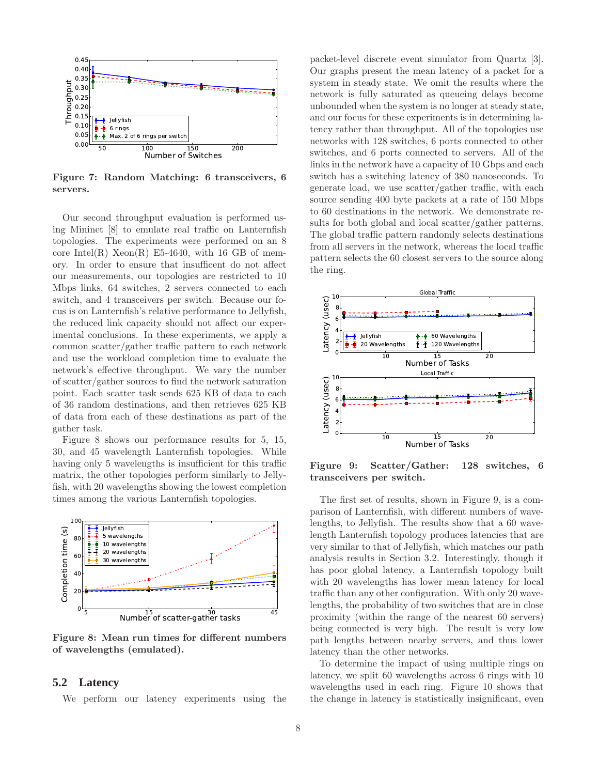

Figure 7: Random Matching: 6 transceivers, 6 servers.

Our second throughput evaluation is performed using Mininet [8] to emulate real traffic on Lanternfish topologies. The experiments were performed on an 8 core Intel $(R)$  Xeon $(R)$  E5-4640, with 16 GB of memory. In order to ensure that insufficent do not affect our measurements, our topologies are restricted to 10 Mbps links, 64 switches, 2 servers connected to each switch, and 4 transceivers per switch. Because our focus is on Lanternfish's relative performance to Jellyfish, the reduced link capacity should not affect our experimental conclusions. In these experiments, we apply a common scatter/gather traffic pattern to each network and use the workload completion time to evaluate the network's effective throughput. We vary the number of scatter/gather sources to find the network saturation point. Each scatter task sends 625 KB of data to each of 36 random destinations, and then retrieves 625 KB of data from each of these destinations as part of the gather task.

Figure 8 shows our performance results for 5, 15, 30, and 45 wavelength Lanternfish topologies. While having only 5 wavelengths is insufficient for this traffic matrix, the other topologies perform similarly to Jellyfish, with 20 wavelengths showing the lowest completion times among the various Lanternfish topologies.



Figure 8: Mean run times for different numbers of wavelengths (emulated).

### **5.2 Latency**

We perform our latency experiments using the

packet-level discrete event simulator from Quartz [3]. Our graphs present the mean latency of a packet for a system in steady state. We omit the results where the network is fully saturated as queueing delays become unbounded when the system is no longer at steady state, and our focus for these experiments is in determining latency rather than throughput. All of the topologies use networks with 128 switches, 6 ports connected to other switches, and 6 ports connected to servers. All of the links in the network have a capacity of 10 Gbps and each switch has a switching latency of 380 nanoseconds. To generate load, we use scatter/gather traffic, with each source sending 400 byte packets at a rate of 150 Mbps to 60 destinations in the network. We demonstrate results for both global and local scatter/gather patterns. The global traffic pattern randomly selects destinations from all servers in the network, whereas the local traffic pattern selects the 60 closest servers to the source along the ring.



Figure 9: Scatter/Gather: 128 switches, 6 transceivers per switch.

The first set of results, shown in Figure 9, is a comparison of Lanternfish, with different numbers of wavelengths, to Jellyfish. The results show that a 60 wavelength Lanternfish topology produces latencies that are very similar to that of Jellyfish, which matches our path analysis results in Section 3.2. Interestingly, though it has poor global latency, a Lanternfish topology built with 20 wavelengths has lower mean latency for local traffic than any other configuration. With only 20 wavelengths, the probability of two switches that are in close proximity (within the range of the nearest 60 servers) being connected is very high. The result is very low path lengths between nearby servers, and thus lower latency than the other networks.

To determine the impact of using multiple rings on latency, we split 60 wavelengths across 6 rings with 10 wavelengths used in each ring. Figure 10 shows that the change in latency is statistically insignificant, even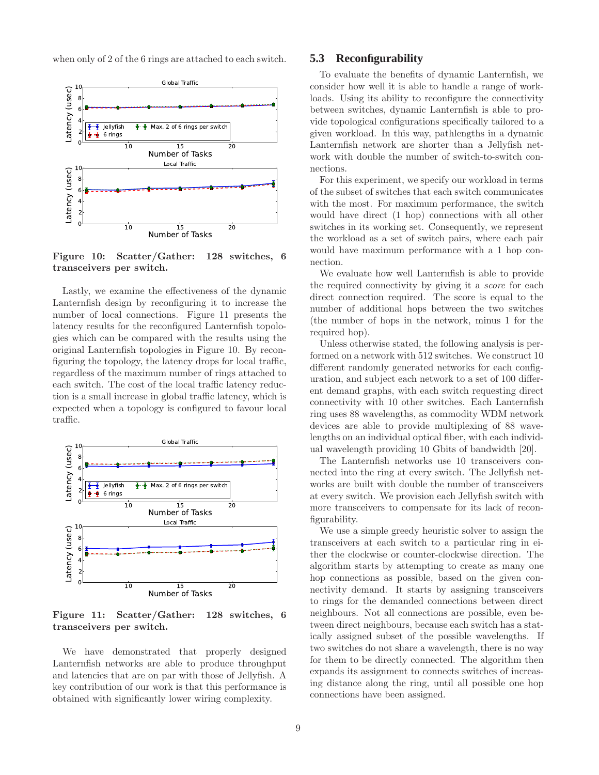when only of 2 of the 6 rings are attached to each switch.



Figure 10: Scatter/Gather: 128 switches, 6 transceivers per switch.

Lastly, we examine the effectiveness of the dynamic Lanternfish design by reconfiguring it to increase the number of local connections. Figure 11 presents the latency results for the reconfigured Lanternfish topologies which can be compared with the results using the original Lanternfish topologies in Figure 10. By reconfiguring the topology, the latency drops for local traffic, regardless of the maximum number of rings attached to each switch. The cost of the local traffic latency reduction is a small increase in global traffic latency, which is expected when a topology is configured to favour local traffic.



Figure 11: Scatter/Gather: 128 switches, 6 transceivers per switch.

We have demonstrated that properly designed Lanternfish networks are able to produce throughput and latencies that are on par with those of Jellyfish. A key contribution of our work is that this performance is obtained with significantly lower wiring complexity.

# **5.3 Reconfigurability**

To evaluate the benefits of dynamic Lanternfish, we consider how well it is able to handle a range of workloads. Using its ability to reconfigure the connectivity between switches, dynamic Lanternfish is able to provide topological configurations specifically tailored to a given workload. In this way, pathlengths in a dynamic Lanternfish network are shorter than a Jellyfish network with double the number of switch-to-switch connections.

For this experiment, we specify our workload in terms of the subset of switches that each switch communicates with the most. For maximum performance, the switch would have direct (1 hop) connections with all other switches in its working set. Consequently, we represent the workload as a set of switch pairs, where each pair would have maximum performance with a 1 hop connection.

We evaluate how well Lanternfish is able to provide the required connectivity by giving it a score for each direct connection required. The score is equal to the number of additional hops between the two switches (the number of hops in the network, minus 1 for the required hop).

Unless otherwise stated, the following analysis is performed on a network with 512 switches. We construct 10 different randomly generated networks for each configuration, and subject each network to a set of 100 different demand graphs, with each switch requesting direct connectivity with 10 other switches. Each Lanternfish ring uses 88 wavelengths, as commodity WDM network devices are able to provide multiplexing of 88 wavelengths on an individual optical fiber, with each individual wavelength providing 10 Gbits of bandwidth [20].

The Lanternfish networks use 10 transceivers connected into the ring at every switch. The Jellyfish networks are built with double the number of transceivers at every switch. We provision each Jellyfish switch with more transceivers to compensate for its lack of reconfigurability.

We use a simple greedy heuristic solver to assign the transceivers at each switch to a particular ring in either the clockwise or counter-clockwise direction. The algorithm starts by attempting to create as many one hop connections as possible, based on the given connectivity demand. It starts by assigning transceivers to rings for the demanded connections between direct neighbours. Not all connections are possible, even between direct neighbours, because each switch has a statically assigned subset of the possible wavelengths. If two switches do not share a wavelength, there is no way for them to be directly connected. The algorithm then expands its assignment to connects switches of increasing distance along the ring, until all possible one hop connections have been assigned.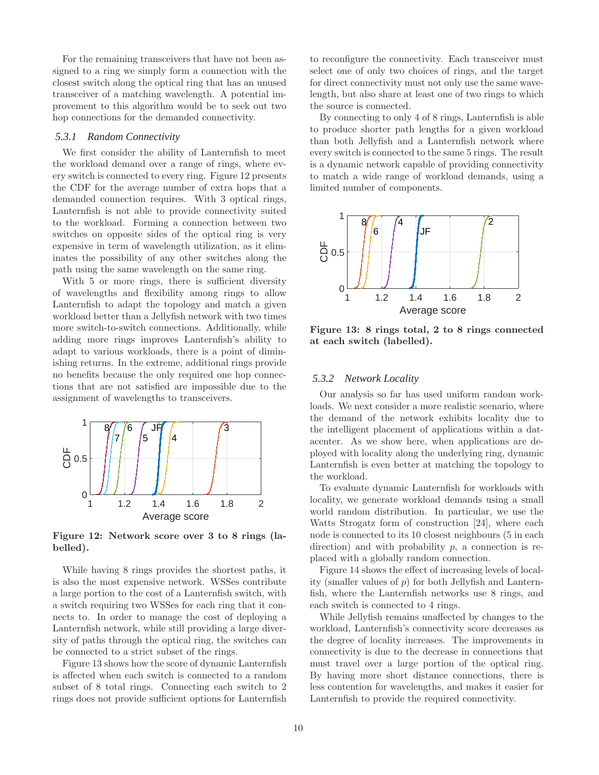For the remaining transceivers that have not been assigned to a ring we simply form a connection with the closest switch along the optical ring that has an unused transceiver of a matching wavelength. A potential improvement to this algorithm would be to seek out two hop connections for the demanded connectivity.

### *5.3.1 Random Connectivity*

We first consider the ability of Lanternfish to meet the workload demand over a range of rings, where every switch is connected to every ring. Figure 12 presents the CDF for the average number of extra hops that a demanded connection requires. With 3 optical rings, Lanternfish is not able to provide connectivity suited to the workload. Forming a connection between two switches on opposite sides of the optical ring is very expensive in term of wavelength utilization, as it eliminates the possibility of any other switches along the path using the same wavelength on the same ring.

With 5 or more rings, there is sufficient diversity of wavelengths and flexibility among rings to allow Lanternfish to adapt the topology and match a given workload better than a Jellyfish network with two times more switch-to-switch connections. Additionally, while adding more rings improves Lanternfish's ability to adapt to various workloads, there is a point of diminishing returns. In the extreme, additional rings provide no benefits because the only required one hop connections that are not satisfied are impossible due to the assignment of wavelengths to transceivers.



Figure 12: Network score over 3 to 8 rings (labelled).

While having 8 rings provides the shortest paths, it is also the most expensive network. WSSes contribute a large portion to the cost of a Lanternfish switch, with a switch requiring two WSSes for each ring that it connects to. In order to manage the cost of deploying a Lanternfish network, while still providing a large diversity of paths through the optical ring, the switches can be connected to a strict subset of the rings.

Figure 13 shows how the score of dynamic Lanternfish is affected when each switch is connected to a random subset of 8 total rings. Connecting each switch to 2 rings does not provide sufficient options for Lanternfish

to reconfigure the connectivity. Each transceiver must select one of only two choices of rings, and the target for direct connectivity must not only use the same wavelength, but also share at least one of two rings to which the source is connected.

By connecting to only 4 of 8 rings, Lanternfish is able to produce shorter path lengths for a given workload than both Jellyfish and a Lanternfish network where every switch is connected to the same 5 rings. The result is a dynamic network capable of providing connectivity to match a wide range of workload demands, using a limited number of components.



Figure 13: 8 rings total, 2 to 8 rings connected at each switch (labelled).

#### *5.3.2 Network Locality*

Our analysis so far has used uniform random workloads. We next consider a more realistic scenario, where the demand of the network exhibits locality due to the intelligent placement of applications within a datacenter. As we show here, when applications are deployed with locality along the underlying ring, dynamic Lanternfish is even better at matching the topology to the workload.

To evaluate dynamic Lanternfish for workloads with locality, we generate workload demands using a small world random distribution. In particular, we use the Watts Strogatz form of construction [24], where each node is connected to its 10 closest neighbours (5 in each direction) and with probability  $p$ , a connection is replaced with a globally random connection.

Figure 14 shows the effect of increasing levels of locality (smaller values of  $p$ ) for both Jellyfish and Lanternfish, where the Lanternfish networks use 8 rings, and each switch is connected to 4 rings.

While Jellyfish remains unaffected by changes to the workload, Lanternfish's connectivity score decreases as the degree of locality increases. The improvements in connectivity is due to the decrease in connections that must travel over a large portion of the optical ring. By having more short distance connections, there is less contention for wavelengths, and makes it easier for Lanternfish to provide the required connectivity.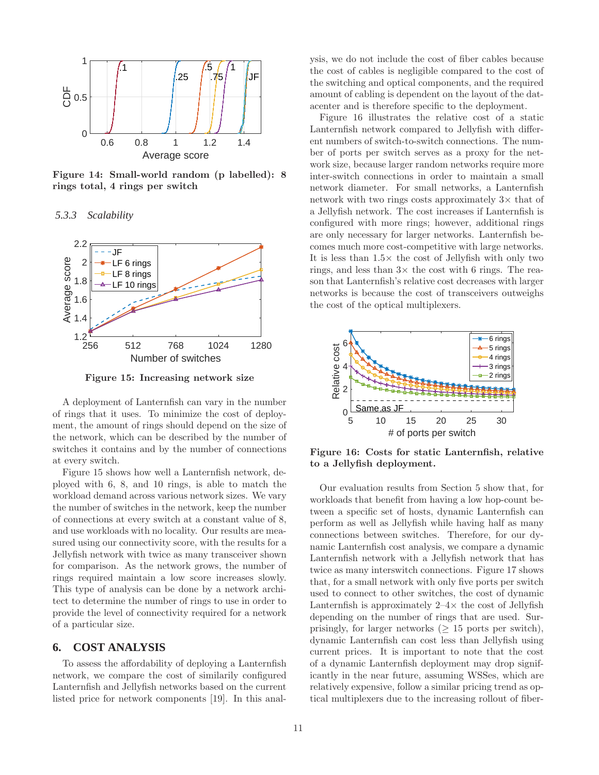

Figure 14: Small-world random (p labelled): 8 rings total, 4 rings per switch

*5.3.3 Scalability*



Figure 15: Increasing network size

A deployment of Lanternfish can vary in the number of rings that it uses. To minimize the cost of deployment, the amount of rings should depend on the size of the network, which can be described by the number of switches it contains and by the number of connections at every switch.

Figure 15 shows how well a Lanternfish network, deployed with 6, 8, and 10 rings, is able to match the workload demand across various network sizes. We vary the number of switches in the network, keep the number of connections at every switch at a constant value of 8, and use workloads with no locality. Our results are measured using our connectivity score, with the results for a Jellyfish network with twice as many transceiver shown for comparison. As the network grows, the number of rings required maintain a low score increases slowly. This type of analysis can be done by a network architect to determine the number of rings to use in order to provide the level of connectivity required for a network of a particular size.

# **6. COST ANALYSIS**

To assess the affordability of deploying a Lanternfish network, we compare the cost of similarily configured Lanternfish and Jellyfish networks based on the current listed price for network components [19]. In this analysis, we do not include the cost of fiber cables because the cost of cables is negligible compared to the cost of the switching and optical components, and the required amount of cabling is dependent on the layout of the datacenter and is therefore specific to the deployment.

Figure 16 illustrates the relative cost of a static Lanternfish network compared to Jellyfish with different numbers of switch-to-switch connections. The number of ports per switch serves as a proxy for the network size, because larger random networks require more inter-switch connections in order to maintain a small network diameter. For small networks, a Lanternfish network with two rings costs approximately  $3\times$  that of a Jellyfish network. The cost increases if Lanternfish is configured with more rings; however, additional rings are only necessary for larger networks. Lanternfish becomes much more cost-competitive with large networks. It is less than  $1.5\times$  the cost of Jellyfish with only two rings, and less than  $3\times$  the cost with 6 rings. The reason that Lanternfish's relative cost decreases with larger networks is because the cost of transceivers outweighs the cost of the optical multiplexers.



Figure 16: Costs for static Lanternfish, relative to a Jellyfish deployment.

Our evaluation results from Section 5 show that, for workloads that benefit from having a low hop-count between a specific set of hosts, dynamic Lanternfish can perform as well as Jellyfish while having half as many connections between switches. Therefore, for our dynamic Lanternfish cost analysis, we compare a dynamic Lanternfish network with a Jellyfish network that has twice as many interswitch connections. Figure 17 shows that, for a small network with only five ports per switch used to connect to other switches, the cost of dynamic Lanternfish is approximately  $2-4\times$  the cost of Jellyfish depending on the number of rings that are used. Surprisingly, for larger networks ( $\geq$  15 ports per switch), dynamic Lanternfish can cost less than Jellyfish using current prices. It is important to note that the cost of a dynamic Lanternfish deployment may drop significantly in the near future, assuming WSSes, which are relatively expensive, follow a similar pricing trend as optical multiplexers due to the increasing rollout of fiber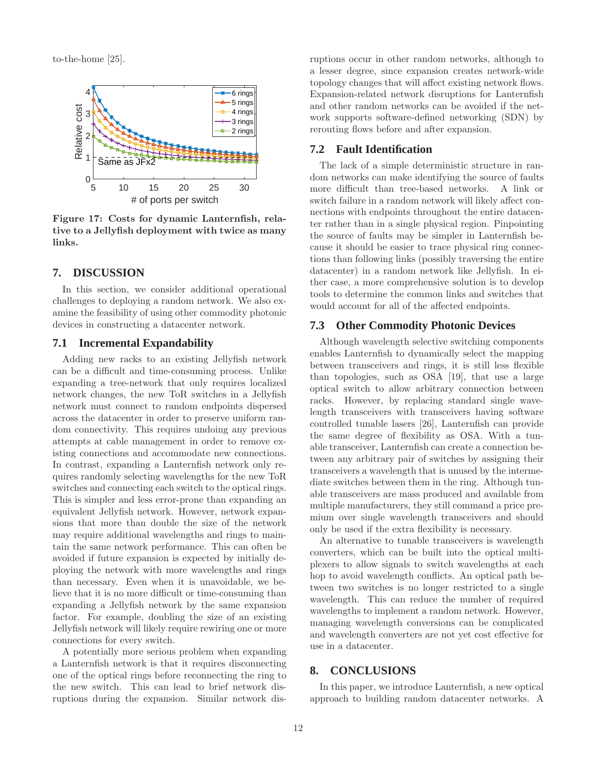to-the-home [25].



Figure 17: Costs for dynamic Lanternfish, relative to a Jellyfish deployment with twice as many links.

# **7. DISCUSSION**

In this section, we consider additional operational challenges to deploying a random network. We also examine the feasibility of using other commodity photonic devices in constructing a datacenter network.

### **7.1 Incremental Expandability**

Adding new racks to an existing Jellyfish network can be a difficult and time-consuming process. Unlike expanding a tree-network that only requires localized network changes, the new ToR switches in a Jellyfish network must connect to random endpoints dispersed across the datacenter in order to preserve uniform random connectivity. This requires undoing any previous attempts at cable management in order to remove existing connections and accommodate new connections. In contrast, expanding a Lanternfish network only requires randomly selecting wavelengths for the new ToR switches and connecting each switch to the optical rings. This is simpler and less error-prone than expanding an equivalent Jellyfish network. However, network expansions that more than double the size of the network may require additional wavelengths and rings to maintain the same network performance. This can often be avoided if future expansion is expected by initially deploying the network with more wavelengths and rings than necessary. Even when it is unavoidable, we believe that it is no more difficult or time-consuming than expanding a Jellyfish network by the same expansion factor. For example, doubling the size of an existing Jellyfish network will likely require rewiring one or more connections for every switch.

A potentially more serious problem when expanding a Lanternfish network is that it requires disconnecting one of the optical rings before reconnecting the ring to the new switch. This can lead to brief network disruptions during the expansion. Similar network disruptions occur in other random networks, although to a lesser degree, since expansion creates network-wide topology changes that will affect existing network flows. Expansion-related network disruptions for Lanternfish and other random networks can be avoided if the network supports software-defined networking (SDN) by rerouting flows before and after expansion.

# **7.2 Fault Identification**

The lack of a simple deterministic structure in random networks can make identifying the source of faults more difficult than tree-based networks. A link or switch failure in a random network will likely affect connections with endpoints throughout the entire datacenter rather than in a single physical region. Pinpointing the source of faults may be simpler in Lanternfish because it should be easier to trace physical ring connections than following links (possibly traversing the entire datacenter) in a random network like Jellyfish. In either case, a more comprehensive solution is to develop tools to determine the common links and switches that would account for all of the affected endpoints.

# **7.3 Other Commodity Photonic Devices**

Although wavelength selective switching components enables Lanternfish to dynamically select the mapping between transceivers and rings, it is still less flexible than topologies, such as OSA [19], that use a large optical switch to allow arbitrary connection between racks. However, by replacing standard single wavelength transceivers with transceivers having software controlled tunable lasers [26], Lanternfish can provide the same degree of flexibility as OSA. With a tunable transceiver, Lanternfish can create a connection between any arbitrary pair of switches by assigning their transceivers a wavelength that is unused by the intermediate switches between them in the ring. Although tunable transceivers are mass produced and available from multiple manufacturers, they still command a price premium over single wavelength transceivers and should only be used if the extra flexibility is necessary.

An alternative to tunable transceivers is wavelength converters, which can be built into the optical multiplexers to allow signals to switch wavelengths at each hop to avoid wavelength conflicts. An optical path between two switches is no longer restricted to a single wavelength. This can reduce the number of required wavelengths to implement a random network. However, managing wavelength conversions can be complicated and wavelength converters are not yet cost effective for use in a datacenter.

# **8. CONCLUSIONS**

In this paper, we introduce Lanternfish, a new optical approach to building random datacenter networks. A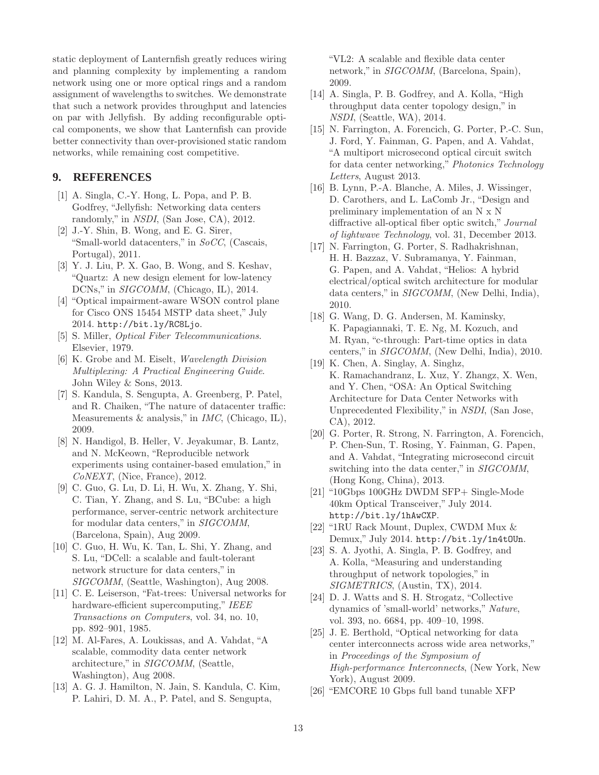static deployment of Lanternfish greatly reduces wiring and planning complexity by implementing a random network using one or more optical rings and a random assignment of wavelengths to switches. We demonstrate that such a network provides throughput and latencies on par with Jellyfish. By adding reconfigurable optical components, we show that Lanternfish can provide better connectivity than over-provisioned static random networks, while remaining cost competitive.

# **9. REFERENCES**

- [1] A. Singla, C.-Y. Hong, L. Popa, and P. B. Godfrey, "Jellyfish: Networking data centers randomly," in NSDI, (San Jose, CA), 2012.
- [2] J.-Y. Shin, B. Wong, and E. G. Sirer, "Small-world datacenters," in SoCC, (Cascais, Portugal), 2011.
- [3] Y. J. Liu, P. X. Gao, B. Wong, and S. Keshav, "Quartz: A new design element for low-latency DCNs," in *SIGCOMM*, (Chicago, IL), 2014.
- [4] "Optical impairment-aware WSON control plane for Cisco ONS 15454 MSTP data sheet," July 2014. http://bit.ly/RC8Ljo.
- [5] S. Miller, Optical Fiber Telecommunications. Elsevier, 1979.
- [6] K. Grobe and M. Eiselt, Wavelength Division Multiplexing: A Practical Engineering Guide. John Wiley & Sons, 2013.
- [7] S. Kandula, S. Sengupta, A. Greenberg, P. Patel, and R. Chaiken, "The nature of datacenter traffic: Measurements  $\&$  analysis," in *IMC*, (Chicago, IL), 2009.
- [8] N. Handigol, B. Heller, V. Jeyakumar, B. Lantz, and N. McKeown, "Reproducible network experiments using container-based emulation," in CoNEXT, (Nice, France), 2012.
- [9] C. Guo, G. Lu, D. Li, H. Wu, X. Zhang, Y. Shi, C. Tian, Y. Zhang, and S. Lu, "BCube: a high performance, server-centric network architecture for modular data centers," in SIGCOMM, (Barcelona, Spain), Aug 2009.
- [10] C. Guo, H. Wu, K. Tan, L. Shi, Y. Zhang, and S. Lu, "DCell: a scalable and fault-tolerant network structure for data centers," in SIGCOMM, (Seattle, Washington), Aug 2008.
- [11] C. E. Leiserson, "Fat-trees: Universal networks for hardware-efficient supercomputing," IEEE Transactions on Computers, vol. 34, no. 10, pp. 892–901, 1985.
- [12] M. Al-Fares, A. Loukissas, and A. Vahdat, "A scalable, commodity data center network architecture," in SIGCOMM, (Seattle, Washington), Aug 2008.
- [13] A. G. J. Hamilton, N. Jain, S. Kandula, C. Kim, P. Lahiri, D. M. A., P. Patel, and S. Sengupta,

"VL2: A scalable and flexible data center network," in *SIGCOMM*, (Barcelona, Spain), 2009.

- [14] A. Singla, P. B. Godfrey, and A. Kolla, "High throughput data center topology design," in NSDI, (Seattle, WA), 2014.
- [15] N. Farrington, A. Forencich, G. Porter, P.-C. Sun, J. Ford, Y. Fainman, G. Papen, and A. Vahdat, "A multiport microsecond optical circuit switch for data center networking," Photonics Technology Letters, August 2013.
- [16] B. Lynn, P.-A. Blanche, A. Miles, J. Wissinger, D. Carothers, and L. LaComb Jr., "Design and preliminary implementation of an N x N diffractive all-optical fiber optic switch," Journal of lightwave Technology, vol. 31, December 2013.
- [17] N. Farrington, G. Porter, S. Radhakrishnan, H. H. Bazzaz, V. Subramanya, Y. Fainman, G. Papen, and A. Vahdat, "Helios: A hybrid electrical/optical switch architecture for modular data centers," in SIGCOMM, (New Delhi, India), 2010.
- [18] G. Wang, D. G. Andersen, M. Kaminsky, K. Papagiannaki, T. E. Ng, M. Kozuch, and M. Ryan, "c-through: Part-time optics in data centers," in SIGCOMM, (New Delhi, India), 2010.
- [19] K. Chen, A. Singlay, A. Singhz, K. Ramachandranz, L. Xuz, Y. Zhangz, X. Wen, and Y. Chen, "OSA: An Optical Switching Architecture for Data Center Networks with Unprecedented Flexibility," in NSDI, (San Jose, CA), 2012.
- [20] G. Porter, R. Strong, N. Farrington, A. Forencich, P. Chen-Sun, T. Rosing, Y. Fainman, G. Papen, and A. Vahdat, "Integrating microsecond circuit switching into the data center," in SIGCOMM, (Hong Kong, China), 2013.
- [21] "10Gbps 100GHz DWDM SFP+ Single-Mode 40km Optical Transceiver," July 2014. http://bit.ly/1hAwCXP.
- [22] "1RU Rack Mount, Duplex, CWDM Mux & Demux," July 2014. http://bit.ly/1n4tOUn.
- [23] S. A. Jyothi, A. Singla, P. B. Godfrey, and A. Kolla, "Measuring and understanding throughput of network topologies," in SIGMETRICS, (Austin, TX), 2014.
- [24] D. J. Watts and S. H. Strogatz, "Collective dynamics of 'small-world' networks," Nature, vol. 393, no. 6684, pp. 409–10, 1998.
- [25] J. E. Berthold, "Optical networking for data center interconnects across wide area networks," in Proceedings of the Symposium of High-performance Interconnects, (New York, New York), August 2009.
- [26] "EMCORE 10 Gbps full band tunable XFP